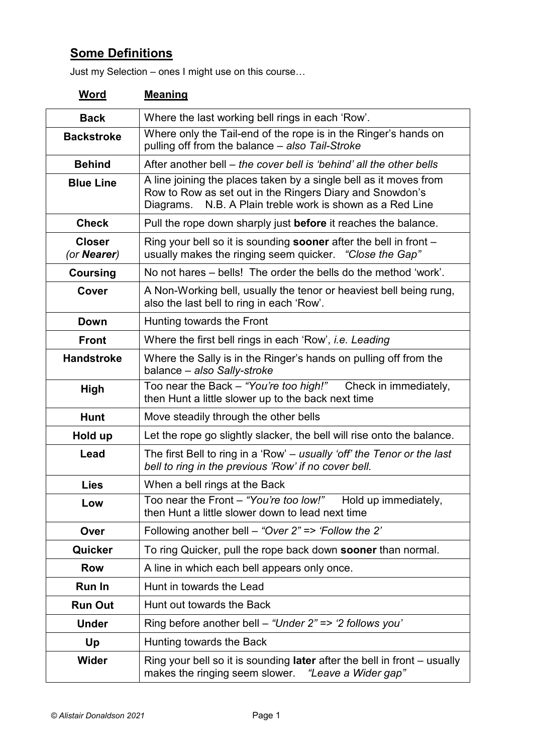## **Some Definitions**

Just my Selection – ones I might use on this course…

| <b>Word</b>                  | <b>Meaning</b>                                                                                                                                                                                |  |  |
|------------------------------|-----------------------------------------------------------------------------------------------------------------------------------------------------------------------------------------------|--|--|
| <b>Back</b>                  | Where the last working bell rings in each 'Row'.                                                                                                                                              |  |  |
| <b>Backstroke</b>            | Where only the Tail-end of the rope is in the Ringer's hands on<br>pulling off from the balance - also Tail-Stroke                                                                            |  |  |
| <b>Behind</b>                | After another bell – the cover bell is 'behind' all the other bells                                                                                                                           |  |  |
| <b>Blue Line</b>             | A line joining the places taken by a single bell as it moves from<br>Row to Row as set out in the Ringers Diary and Snowdon's<br>N.B. A Plain treble work is shown as a Red Line<br>Diagrams. |  |  |
| <b>Check</b>                 | Pull the rope down sharply just <b>before</b> it reaches the balance.                                                                                                                         |  |  |
| <b>Closer</b><br>(or Nearer) | Ring your bell so it is sounding <b>sooner</b> after the bell in front $-$<br>usually makes the ringing seem quicker. "Close the Gap"                                                         |  |  |
| <b>Coursing</b>              | No not hares – bells! The order the bells do the method 'work'.                                                                                                                               |  |  |
| Cover                        | A Non-Working bell, usually the tenor or heaviest bell being rung,<br>also the last bell to ring in each 'Row'.                                                                               |  |  |
| Down                         | Hunting towards the Front                                                                                                                                                                     |  |  |
| <b>Front</b>                 | Where the first bell rings in each 'Row', <i>i.e. Leading</i>                                                                                                                                 |  |  |
| <b>Handstroke</b>            | Where the Sally is in the Ringer's hands on pulling off from the<br>balance - also Sally-stroke                                                                                               |  |  |
| <b>High</b>                  | Too near the Back - "You're too high!"<br>Check in immediately,<br>then Hunt a little slower up to the back next time                                                                         |  |  |
| <b>Hunt</b>                  | Move steadily through the other bells                                                                                                                                                         |  |  |
| Hold up                      | Let the rope go slightly slacker, the bell will rise onto the balance.                                                                                                                        |  |  |
| Lead                         | The first Bell to ring in a 'Row' – usually 'off' the Tenor or the last<br>bell to ring in the previous 'Row' if no cover bell.                                                               |  |  |
| <b>Lies</b>                  | When a bell rings at the Back                                                                                                                                                                 |  |  |
| Low                          | Too near the Front - "You're too low!"<br>Hold up immediately,<br>then Hunt a little slower down to lead next time                                                                            |  |  |
| Over                         | Following another bell – "Over $2" \Rightarrow 'Follow$ the 2'                                                                                                                                |  |  |
| Quicker                      | To ring Quicker, pull the rope back down <b>sooner</b> than normal.                                                                                                                           |  |  |
| <b>Row</b>                   | A line in which each bell appears only once.                                                                                                                                                  |  |  |
| Run In                       | Hunt in towards the Lead                                                                                                                                                                      |  |  |
| <b>Run Out</b>               | Hunt out towards the Back                                                                                                                                                                     |  |  |
| <b>Under</b>                 | Ring before another bell – "Under $2" \Rightarrow 2$ follows you"                                                                                                                             |  |  |
| Up                           | Hunting towards the Back                                                                                                                                                                      |  |  |
| Wider                        | Ring your bell so it is sounding <b>later</b> after the bell in front $-$ usually<br>makes the ringing seem slower. "Leave a Wider gap"                                                       |  |  |